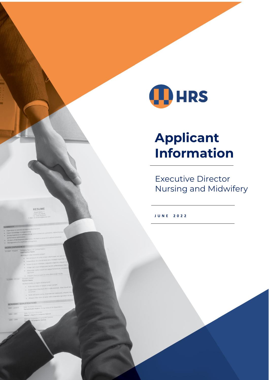

# **Applicant Information**

**Executive Director** Nursing and Midwifery

JUNE 2022

RESUME

- -
	-
	-
	-
	-
- 

- -
	-
	-

- 
- 
- 
-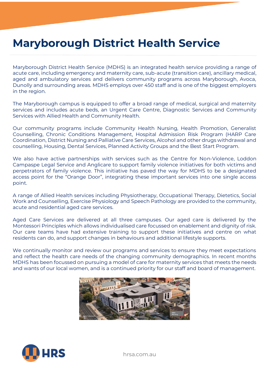### **Maryborough District Health Service**

Maryborough District Health Service (MDHS) is an integrated health service providing a range of acute care, including emergency and maternity care, sub-acute (transition care), ancillary medical, aged and ambulatory services and delivers community programs across Maryborough, Avoca, Dunolly and surrounding areas. MDHS employs over 450 staff and is one of the biggest employers in the region.

The Maryborough campus is equipped to offer a broad range of medical, surgical and maternity services and includes acute beds, an Urgent Care Centre, Diagnostic Services and Community Services with Allied Health and Community Health.

Our community programs include Community Health Nursing, Health Promotion, Generalist Counselling, Chronic Conditions Management, Hospital Admission Risk Program (HARP Care Coordination, District Nursing and Palliative Care Services, Alcohol and other drugs withdrawal and counselling, Housing, Dental Services, Planned Activity Groups and the Best Start Program.

We also have active partnerships with services such as the Centre for Non-Violence, Loddon Campaspe Legal Service and Anglicare to support family violence initiatives for both victims and perpetrators of family violence. This initiative has paved the way for MDHS to be a designated access point for the "Orange Door", integrating these important services into one single access point.

A range of Allied Health services including Physiotherapy, Occupational Therapy, Dietetics, Social Work and Counselling, Exercise Physiology and Speech Pathology are provided to the community, acute and residential aged care services.

Aged Care Services are delivered at all three campuses. Our aged care is delivered by the Montessori Principles which allows individualised care focussed on enablement and dignity of risk. Our care teams have had extensive training to support these initiatives and centre on what residents can do, and support changes in behaviours and additional lifestyle supports.

We continually monitor and review our programs and services to ensure they meet expectations and reflect the health care needs of the changing community demographics. In recent months MDHS has been focussed on pursuing a model of care for maternity services that meets the needs and wants of our local women, and is a continued priority for our staff and board of management.





hrsa.com.au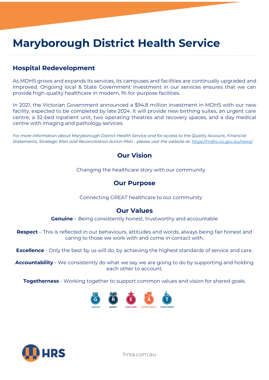# **Maryborough District Health Service**

### **Hospital Redevelopment**

As MDHS grows and expands its services, its campuses and facilities are continually upgraded and improved. Ongoing local & State Government investment in our services ensures that we can provide high-quality healthcare in modern, fit-for-purpose facilities.

In 2021, the Victorian Government announced a \$94.8 million investment in MDHS with our new facility, expected to be completed by late 2024. It will provide new birthing suites, an urgent care centre, a 32-bed inpatient unit, two operating theatres and recovery spaces, and a day medical centre with imaging and pathology services.

*For more information about Maryborough District Health Service and for access to the Quality Account, Financial Statements, Strategic Plan and Reconciliation Action Plan - please visit the website at:<https://mdhs.vic.gov.au/news/>*

### **Our Vision**

Changing the healthcare story with our community

### **Our Purpose**

Connecting GREAT healthcare to our community

### **Our Values**

**Genuine** – Being consistently honest, trustworthy and accountable

**Respect** – This is reflected in our behaviours, attitudes and words, always being fair honest and caring to those we work with and come in contact with.

**Excellence** - Only the best by us will do, by achieving the highest standards of service and care.

**Accountability** - We consistently do what we say we are going to do by supporting and holding each other to account.

**Togetherness** - Working together to support common values and vision for shared goals.





hrsa.com.au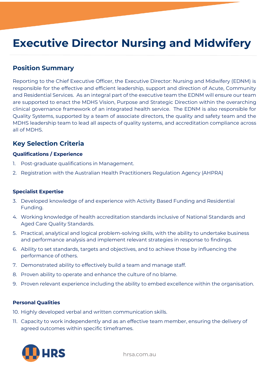# **Executive Director Nursing and Midwifery**

### **Position Summary**

Reporting to the Chief Executive Officer, the Executive Director: Nursing and Midwifery (EDNM) is responsible for the effective and efficient leadership, support and direction of Acute, Community and Residential Services. As an integral part of the executive team the EDNM will ensure our team are supported to enact the MDHS Vision, Purpose and Strategic Direction within the overarching clinical governance framework of an integrated health service. The EDNM is also responsible for Quality Systems, supported by a team of associate directors, the quality and safety team and the MDHS leadership team to lead all aspects of quality systems, and accreditation compliance across all of MDHS.

### **Key Selection Criteria**

#### **Qualifications / Experience**

- 1. Post-graduate qualifications in Management.
- 2. Registration with the Australian Health Practitioners Regulation Agency (AHPRA)

#### **Specialist Expertise**

- 3. Developed knowledge of and experience with Activity Based Funding and Residential Funding.
- 4. Working knowledge of health accreditation standards inclusive of National Standards and Aged Care Quality Standards.
- 5. Practical, analytical and logical problem-solving skills, with the ability to undertake business and performance analysis and implement relevant strategies in response to findings.
- 6. Ability to set standards, targets and objectives, and to achieve those by influencing the performance of others.
- 7. Demonstrated ability to effectively build a team and manage staff.
- 8. Proven ability to operate and enhance the culture of no blame.
- 9. Proven relevant experience including the ability to embed excellence within the organisation.

#### **Personal Qualities**

- 10. Highly developed verbal and written communication skills.
- 11. Capacity to work independently and as an effective team member, ensuring the delivery of agreed outcomes within specific timeframes.